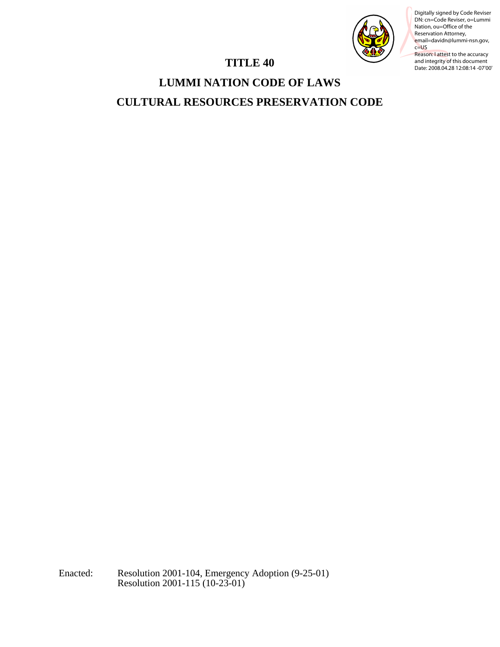

DN: cn=Code Reviser, o=Lummi Nation, ou=Office of the Reservation Attorney, email=davidn@lummi-nsn.gov, c=US Reason: I attest to the accuracy

and integrity of this document Date: 2008.04.28 12:08:14 -07'00'

# **TITLE 40**

# **LUMMI NATION CODE OF LAWS CULTURAL RESOURCES PRESERVATION CODE**  TITLE 40<br>
TITLE 40<br>
LUMMI NATION CODE OF LAWS<br>
CULTURAL RESOURCES PRESERVATION CODE<br>
Digital Contraction 2001-115 (10-23-01)<br>
Leader Become 2001-115 (10-23-01)<br>
Leader Become 2001-115 (10-23-01)<br>
Resolution 2001-115 (10-2

Enacted: Resolution 2001-104, Emergency Adoption (9-25-01)<br>Resolution 2001-115 (10-23-01)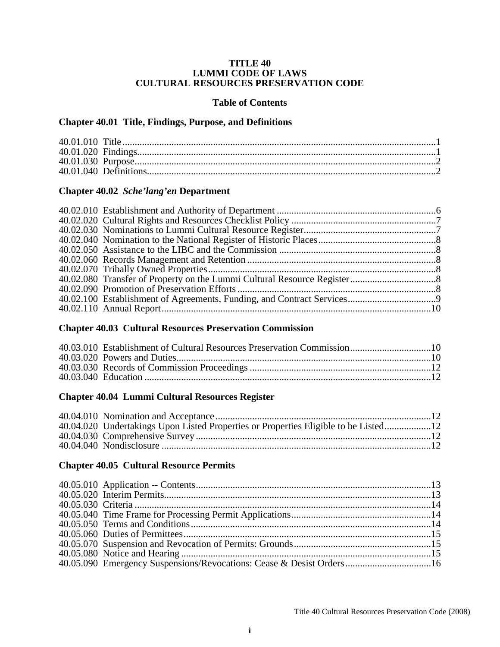### **TITLE 40 LUMMI CODE OF LAWS CULTURAL RESOURCES PRESERVATION CODE**

### **Table of Contents**

# **Chapter 40.01 Title, Findings, Purpose, and Definitions**

# **Chapter 40.02** *Sche'lang'en* **Department**

# **Chapter 40.03 Cultural Resources Preservation Commission**

# **Chapter 40.04 Lummi Cultural Resources Register**

| 40.04.020 Undertakings Upon Listed Properties or Properties Eligible to be Listed12 |  |
|-------------------------------------------------------------------------------------|--|
|                                                                                     |  |
|                                                                                     |  |
|                                                                                     |  |

# **Chapter 40.05 Cultural Resource Permits**

| 40.05.090 Emergency Suspensions/Revocations: Cease & Desist Orders16 |  |
|----------------------------------------------------------------------|--|
|                                                                      |  |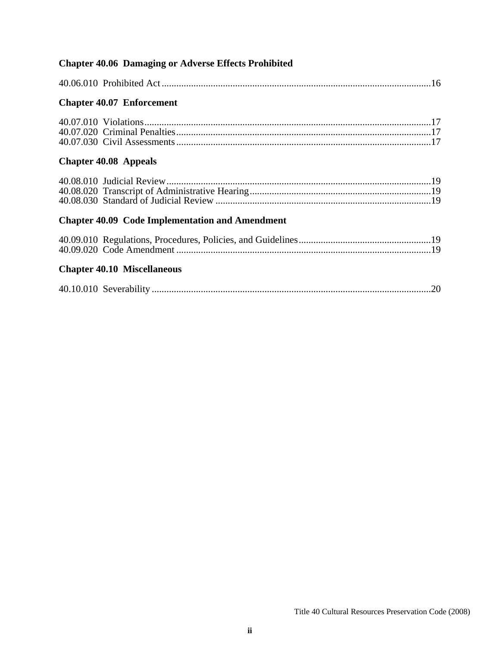| <b>Chapter 40.06 Damaging or Adverse Effects Prohibited</b> |  |
|-------------------------------------------------------------|--|
|                                                             |  |
| <b>Chapter 40.07 Enforcement</b>                            |  |
|                                                             |  |
| <b>Chapter 40.08 Appeals</b>                                |  |
|                                                             |  |
| <b>Chapter 40.09 Code Implementation and Amendment</b>      |  |
|                                                             |  |
| <b>Chapter 40.10 Miscellaneous</b>                          |  |
| .20                                                         |  |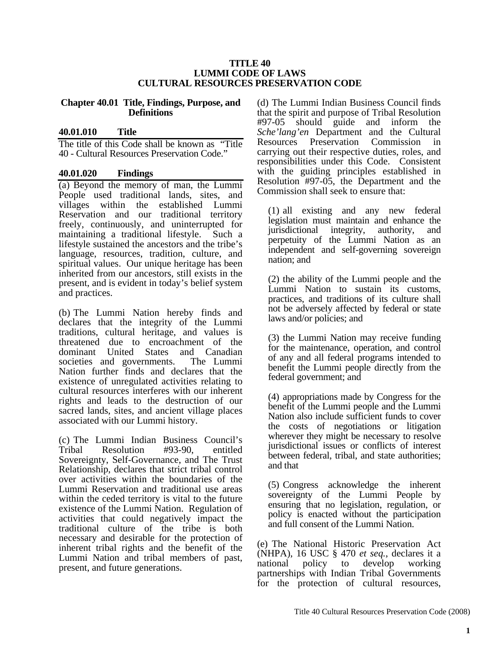### **TITLE 40 LUMMI CODE OF LAWS CULTURAL RESOURCES PRESERVATION CODE**

### **Chapter 40.01 Title, Findings, Purpose, and Definitions**

### **40.01.010 Title**

The title of this Code shall be known as "Title 40 - Cultural Resources Preservation Code."

### **40.01.020 Findings**

(a) Beyond the memory of man, the Lummi People used traditional lands, sites, and villages within the established Lummi Reservation and our traditional territory freely, continuously, and uninterrupted for maintaining a traditional lifestyle. Such a lifestyle sustained the ancestors and the tribe's language, resources, tradition, culture, and spiritual values. Our unique heritage has been inherited from our ancestors, still exists in the present, and is evident in today's belief system and practices.

(b) The Lummi Nation hereby finds and declares that the integrity of the Lummi traditions, cultural heritage, and values is threatened due to encroachment of the dominant United States and Canadian societies and governments. The Lummi societies and governments. Nation further finds and declares that the existence of unregulated activities relating to cultural resources interferes with our inherent rights and leads to the destruction of our sacred lands, sites, and ancient village places associated with our Lummi history.

(c) The Lummi Indian Business Council's  $Resolution$  #93-90, entitled Sovereignty, Self-Governance, and The Trust Relationship, declares that strict tribal control over activities within the boundaries of the Lummi Reservation and traditional use areas within the ceded territory is vital to the future existence of the Lummi Nation. Regulation of activities that could negatively impact the traditional culture of the tribe is both necessary and desirable for the protection of inherent tribal rights and the benefit of the Lummi Nation and tribal members of past, present, and future generations.

(d) The Lummi Indian Business Council finds that the spirit and purpose of Tribal Resolution #97-05 should guide and inform the *Sche'lang'en* Department and the Cultural Resources Preservation Commission in carrying out their respective duties, roles, and responsibilities under this Code. Consistent with the guiding principles established in Resolution #97-05, the Department and the Commission shall seek to ensure that:

(1) all existing and any new federal legislation must maintain and enhance the jurisdictional integrity, authority, and perpetuity of the Lummi Nation as an independent and self-governing sovereign nation; and

(2) the ability of the Lummi people and the Lummi Nation to sustain its customs, practices, and traditions of its culture shall not be adversely affected by federal or state laws and/or policies; and

(3) the Lummi Nation may receive funding for the maintenance, operation, and control of any and all federal programs intended to benefit the Lummi people directly from the federal government; and

(4) appropriations made by Congress for the benefit of the Lummi people and the Lummi Nation also include sufficient funds to cover the costs of negotiations or litigation wherever they might be necessary to resolve jurisdictional issues or conflicts of interest between federal, tribal, and state authorities; and that

(5) Congress acknowledge the inherent sovereignty of the Lummi People by ensuring that no legislation, regulation, or policy is enacted without the participation and full consent of the Lummi Nation.

(e) The National Historic Preservation Act (NHPA), 16 USC § 470 *et seq.*, declares it a national policy to develop working partnerships with Indian Tribal Governments for the protection of cultural resources,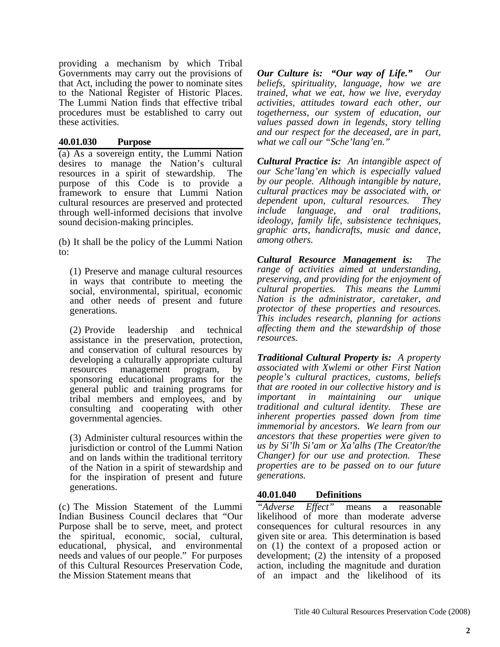providing a mechanism by which Tribal Governments may carry out the provisions of that Act, including the power to nominate sites to the National Register of Historic Places. The Lummi Nation finds that effective tribal procedures must be established to carry out these activities.

### **40.01.030 Purpose**

(a) As a sovereign entity, the Lummi Nation desires to manage the Nation's cultural resources in a spirit of stewardship. The purpose of this Code is to provide a framework to ensure that Lummi Nation cultural resources are preserved and protected through well-informed decisions that involve sound decision-making principles.

(b) It shall be the policy of the Lummi Nation to:

(1) Preserve and manage cultural resources in ways that contribute to meeting the social, environmental, spiritual, economic and other needs of present and future generations.

(2) Provide leadership and technical assistance in the preservation, protection, and conservation of cultural resources by developing a culturally appropriate cultural resources management program, by sponsoring educational programs for the general public and training programs for tribal members and employees, and by consulting and cooperating with other governmental agencies.

(3) Administer cultural resources within the jurisdiction or control of the Lummi Nation and on lands within the traditional territory of the Nation in a spirit of stewardship and for the inspiration of present and future generations.

(c) The Mission Statement of the Lummi Indian Business Council declares that "Our Purpose shall be to serve, meet, and protect the spiritual, economic, social, cultural, educational, physical, and environmental needs and values of our people." For purposes of this Cultural Resources Preservation Code, the Mission Statement means that

*Our Culture is: "Our way of Life." Our beliefs, spirituality, language, how we are trained, what we eat, how we live, everyday activities, attitudes toward each other, our togetherness, our system of education, our values passed down in legends, story telling and our respect for the deceased, are in part, what we call our "Sche'lang'en."* 

*Cultural Practice is: An intangible aspect of our Sche'lang'en which is especially valued by our people. Although intangible by nature, cultural practices may be associated with, or dependent upon, cultural resources. They include language, and oral traditions, ideology, family life, subsistence techniques, graphic arts, handicrafts, music and dance, among others.* 

*Cultural Resource Management is: The range of activities aimed at understanding, preserving, and providing for the enjoyment of cultural properties. This means the Lummi Nation is the administrator, caretaker, and protector of these properties and resources. This includes research, planning for actions affecting them and the stewardship of those resources.*

*Traditional Cultural Property is: A property associated with Xwlemi or other First Nation people's cultural practices, customs, beliefs that are rooted in our collective history and is important in maintaining our unique traditional and cultural identity. These are inherent properties passed down from time immemorial by ancestors. We learn from our ancestors that these properties were given to us by Si'lh Si'am or Xa'alhs (The Creator/the Changer) for our use and protection. These properties are to be passed on to our future generations.*

# **40.01.040 Definitions**

*"Adverse Effect"* means a reasonable likelihood of more than moderate adverse consequences for cultural resources in any given site or area. This determination is based on (1) the context of a proposed action or development; (2) the intensity of a proposed action, including the magnitude and duration of an impact and the likelihood of its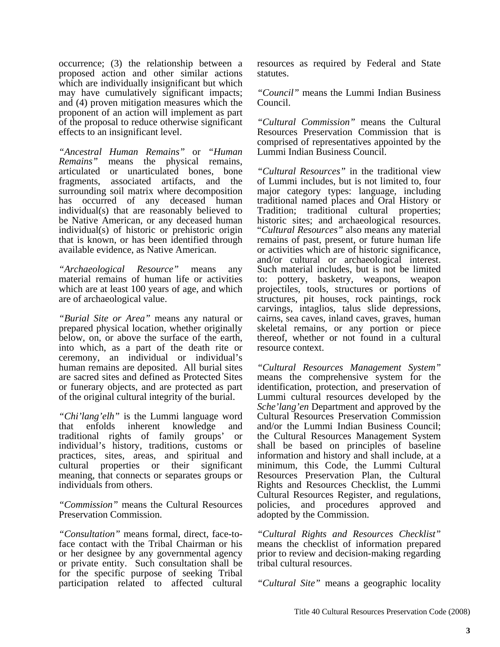occurrence; (3) the relationship between a proposed action and other similar actions which are individually insignificant but which may have cumulatively significant impacts; and (4) proven mitigation measures which the proponent of an action will implement as part of the proposal to reduce otherwise significant effects to an insignificant level.

*"Ancestral Human Remains"* or *"Human Remains"* means the physical remains, articulated or unarticulated bones, bone fragments, associated artifacts, and the surrounding soil matrix where decomposition has occurred of any deceased human individual(s) that are reasonably believed to be Native American, or any deceased human individual(s) of historic or prehistoric origin that is known, or has been identified through available evidence, as Native American.

*"Archaeological Resource"* means any material remains of human life or activities which are at least 100 years of age, and which are of archaeological value.

*"Burial Site or Area"* means any natural or prepared physical location, whether originally below, on, or above the surface of the earth, into which, as a part of the death rite or ceremony, an individual or individual's human remains are deposited. All burial sites are sacred sites and defined as Protected Sites or funerary objects, and are protected as part of the original cultural integrity of the burial.

*"Chi'lang'elh"* is the Lummi language word that enfolds inherent knowledge and traditional rights of family groups' or individual's history, traditions, customs or practices, sites, areas, and spiritual and cultural properties or their significant meaning, that connects or separates groups or individuals from others.

*"Commission"* means the Cultural Resources Preservation Commission.

*"Consultation"* means formal, direct, face-toface contact with the Tribal Chairman or his or her designee by any governmental agency or private entity. Such consultation shall be for the specific purpose of seeking Tribal participation related to affected cultural resources as required by Federal and State statutes.

*"Council"* means the Lummi Indian Business Council.

*"Cultural Commission"* means the Cultural Resources Preservation Commission that is comprised of representatives appointed by the Lummi Indian Business Council.

*"Cultural Resources"* in the traditional view of Lummi includes, but is not limited to, four major category types: language, including traditional named places and Oral History or Tradition; traditional cultural properties; historic sites; and archaeological resources. "*Cultural Resources"* also means any material remains of past, present, or future human life or activities which are of historic significance, and/or cultural or archaeological interest. Such material includes, but is not be limited to: pottery, basketry, weapons, weapon projectiles, tools, structures or portions of structures, pit houses, rock paintings, rock carvings, intaglios, talus slide depressions, cairns, sea caves, inland caves, graves, human skeletal remains, or any portion or piece thereof, whether or not found in a cultural resource context.

*"Cultural Resources Management System"* means the comprehensive system for the identification, protection, and preservation of Lummi cultural resources developed by the *Sche'lang'en* Department and approved by the Cultural Resources Preservation Commission and/or the Lummi Indian Business Council; the Cultural Resources Management System shall be based on principles of baseline information and history and shall include, at a minimum, this Code, the Lummi Cultural Resources Preservation Plan, the Cultural Rights and Resources Checklist, the Lummi Cultural Resources Register, and regulations, policies, and procedures approved and adopted by the Commission.

*"Cultural Rights and Resources Checklist"* means the checklist of information prepared prior to review and decision-making regarding tribal cultural resources.

*"Cultural Site"* means a geographic locality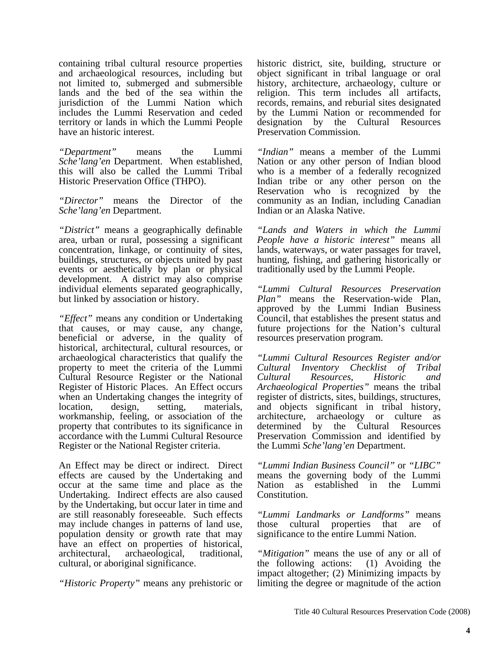containing tribal cultural resource properties and archaeological resources, including but not limited to, submerged and submersible lands and the bed of the sea within the jurisdiction of the Lummi Nation which includes the Lummi Reservation and ceded territory or lands in which the Lummi People have an historic interest.

*"Department"* means the Lummi *Sche'lang'en* Department. When established, this will also be called the Lummi Tribal Historic Preservation Office (THPO).

*"Director"* means the Director of the *Sche'lang'en* Department.

*"District"* means a geographically definable area, urban or rural, possessing a significant concentration, linkage, or continuity of sites, buildings, structures, or objects united by past events or aesthetically by plan or physical development. A district may also comprise individual elements separated geographically, but linked by association or history.

*"Effect"* means any condition or Undertaking that causes, or may cause, any change, beneficial or adverse, in the quality of historical, architectural, cultural resources, or archaeological characteristics that qualify the property to meet the criteria of the Lummi Cultural Resource Register or the National Register of Historic Places. An Effect occurs when an Undertaking changes the integrity of location, design, setting, materials, workmanship, feeling, or association of the property that contributes to its significance in accordance with the Lummi Cultural Resource Register or the National Register criteria.

An Effect may be direct or indirect. Direct effects are caused by the Undertaking and occur at the same time and place as the Undertaking. Indirect effects are also caused by the Undertaking, but occur later in time and are still reasonably foreseeable. Such effects may include changes in patterns of land use, population density or growth rate that may have an effect on properties of historical, architectural, archaeological, traditional, cultural, or aboriginal significance.

*"Historic Property"* means any prehistoric or

historic district, site, building, structure or object significant in tribal language or oral history, architecture, archaeology, culture or religion. This term includes all artifacts, records, remains, and reburial sites designated by the Lummi Nation or recommended for designation by the Cultural Resources Preservation Commission.

*"Indian"* means a member of the Lummi Nation or any other person of Indian blood who is a member of a federally recognized Indian tribe or any other person on the Reservation who is recognized by the community as an Indian, including Canadian Indian or an Alaska Native.

*"Lands and Waters in which the Lummi People have a historic interest"* means all lands, waterways, or water passages for travel, hunting, fishing, and gathering historically or traditionally used by the Lummi People.

*"Lummi Cultural Resources Preservation Plan"* means the Reservation-wide Plan, approved by the Lummi Indian Business Council, that establishes the present status and future projections for the Nation's cultural resources preservation program.

*"Lummi Cultural Resources Register and/or Cultural Inventory Checklist of Tribal Cultural Resources, Historic and Archaeological Properties"* means the tribal register of districts, sites, buildings, structures, and objects significant in tribal history, architecture, archaeology or culture as determined by the Cultural Resources Preservation Commission and identified by the Lummi *Sche'lang'en* Department.

*"Lummi Indian Business Council"* or *"LIBC"* means the governing body of the Lummi Nation as established in the Lummi Constitution.

*"Lummi Landmarks or Landforms"* means those cultural properties that are of significance to the entire Lummi Nation.

*"Mitigation"* means the use of any or all of the following actions: (1) Avoiding the impact altogether; (2) Minimizing impacts by limiting the degree or magnitude of the action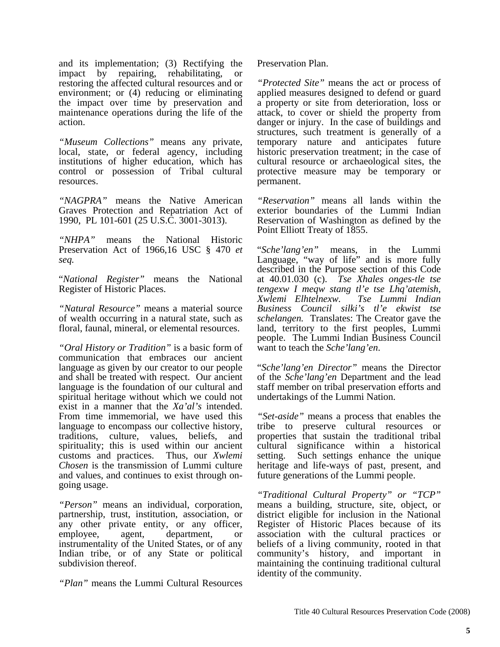and its implementation; (3) Rectifying the impact by repairing, rehabilitating, or restoring the affected cultural resources and or environment; or (4) reducing or eliminating the impact over time by preservation and maintenance operations during the life of the action.

*"Museum Collections"* means any private, local, state, or federal agency, including institutions of higher education, which has control or possession of Tribal cultural resources.

*"NAGPRA"* means the Native American Graves Protection and Repatriation Act of 1990, PL 101-601 (25 U.S.C. 3001-3013).

*"NHPA"* means the National Historic Preservation Act of 1966,16 USC § 470 *et seq.* 

"*National Register"* means the National Register of Historic Places.

*"Natural Resource"* means a material source of wealth occurring in a natural state, such as floral, faunal, mineral, or elemental resources.

*"Oral History or Tradition"* is a basic form of communication that embraces our ancient language as given by our creator to our people and shall be treated with respect. Our ancient language is the foundation of our cultural and spiritual heritage without which we could not exist in a manner that the *Xa'al's* intended. From time immemorial, we have used this language to encompass our collective history, traditions, culture, values, beliefs, and spirituality; this is used within our ancient customs and practices. Thus, our *Xwlemi Chosen* is the transmission of Lummi culture and values, and continues to exist through ongoing usage.

*"Person"* means an individual, corporation, partnership, trust, institution, association, or any other private entity, or any officer, employee, agent, department, or instrumentality of the United States, or of any Indian tribe, or of any State or political subdivision thereof.

*"Plan"* means the Lummi Cultural Resources

Preservation Plan.

*"Protected Site"* means the act or process of applied measures designed to defend or guard a property or site from deterioration, loss or attack, to cover or shield the property from danger or injury. In the case of buildings and structures, such treatment is generally of a temporary nature and anticipates future historic preservation treatment; in the case of cultural resource or archaeological sites, the protective measure may be temporary or permanent.

*"Reservation"* means all lands within the exterior boundaries of the Lummi Indian Reservation of Washington as defined by the Point Elliott Treaty of 1855.

"*Sche'lang'en"* means, in the Lummi Language, "way of life" and is more fully described in the Purpose section of this Code at 40.01.030 (c). *Tse Xhales onges-tle tse tengexw I meqw stang tl'e tse Lhq'atemish, Xwlemi Elhtelnexw. Tse Lummi Indian Business Council silki's tl'e ekwist tse schelangen.* Translates: The Creator gave the land, territory to the first peoples, Lummi people. The Lummi Indian Business Council want to teach the *Sche'lang'en*.

"*Sche'lang'en Director"* means the Director of the *Sche'lang'en* Department and the lead staff member on tribal preservation efforts and undertakings of the Lummi Nation.

*"Set-aside"* means a process that enables the tribe to preserve cultural resources or properties that sustain the traditional tribal cultural significance within a historical setting. Such settings enhance the unique heritage and life-ways of past, present, and future generations of the Lummi people.

*"Traditional Cultural Property" or "TCP"*  means a building, structure, site, object, or district eligible for inclusion in the National Register of Historic Places because of its association with the cultural practices or beliefs of a living community, rooted in that community's history, and important in maintaining the continuing traditional cultural identity of the community.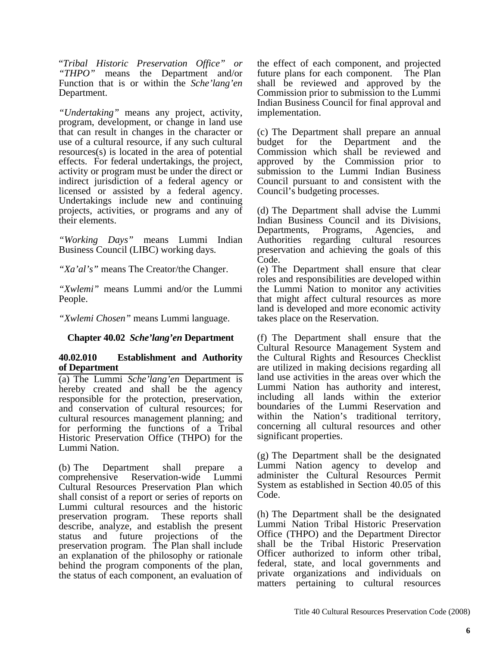"*Tribal Historic Preservation Office" or "THPO"* means the Department and/or Function that is or within the *Sche'lang'en*  Department.

*"Undertaking"* means any project, activity, program, development, or change in land use that can result in changes in the character or use of a cultural resource, if any such cultural resources(s) is located in the area of potential effects. For federal undertakings, the project, activity or program must be under the direct or indirect jurisdiction of a federal agency or licensed or assisted by a federal agency. Undertakings include new and continuing projects, activities, or programs and any of their elements.

*"Working Days"* means Lummi Indian Business Council (LIBC) working days*.* 

*"Xa'al's"* means The Creator/the Changer.

*"Xwlemi"* means Lummi and/or the Lummi People.

*"Xwlemi Chosen"* means Lummi language.

### **Chapter 40.02** *Sche'lang'en* **Department**

### **40.02.010 Establishment and Authority of Department**

(a) The Lummi *Sche'lang'en* Department is hereby created and shall be the agency responsible for the protection, preservation, and conservation of cultural resources; for cultural resources management planning; and for performing the functions of a Tribal Historic Preservation Office (THPO) for the Lummi Nation.

(b) The Department shall prepare a comprehensive Reservation-wide Lummi Cultural Resources Preservation Plan which shall consist of a report or series of reports on Lummi cultural resources and the historic preservation program. These reports shall describe, analyze, and establish the present status and future projections of the status and future projections of the preservation program. The Plan shall include an explanation of the philosophy or rationale behind the program components of the plan, the status of each component, an evaluation of the effect of each component, and projected future plans for each component. The Plan shall be reviewed and approved by the Commission prior to submission to the Lummi Indian Business Council for final approval and implementation.

(c) The Department shall prepare an annual budget for the Department and the Commission which shall be reviewed and approved by the Commission prior to submission to the Lummi Indian Business Council pursuant to and consistent with the Council's budgeting processes.

(d) The Department shall advise the Lummi Indian Business Council and its Divisions, Departments, Programs, Agencies, and Authorities regarding cultural resources preservation and achieving the goals of this Code.

(e) The Department shall ensure that clear roles and responsibilities are developed within the Lummi Nation to monitor any activities that might affect cultural resources as more land is developed and more economic activity takes place on the Reservation.

(f) The Department shall ensure that the Cultural Resource Management System and the Cultural Rights and Resources Checklist are utilized in making decisions regarding all land use activities in the areas over which the Lummi Nation has authority and interest, including all lands within the exterior boundaries of the Lummi Reservation and within the Nation's traditional territory, concerning all cultural resources and other significant properties.

(g) The Department shall be the designated Lummi Nation agency to develop and administer the Cultural Resources Permit System as established in Section 40.05 of this Code.

(h) The Department shall be the designated Lummi Nation Tribal Historic Preservation Office (THPO) and the Department Director shall be the Tribal Historic Preservation Officer authorized to inform other tribal, federal, state, and local governments and private organizations and individuals on matters pertaining to cultural resources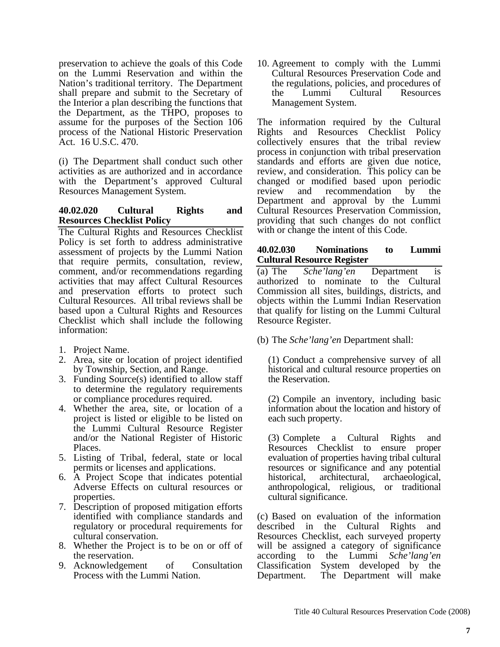preservation to achieve the goals of this Code on the Lummi Reservation and within the Nation's traditional territory. The Department shall prepare and submit to the Secretary of the Interior a plan describing the functions that the Department, as the THPO, proposes to assume for the purposes of the Section 106 process of the National Historic Preservation Act. 16 U.S.C. 470.

(i) The Department shall conduct such other activities as are authorized and in accordance with the Department's approved Cultural Resources Management System.

### **40.02.020 Cultural Rights and Resources Checklist Policy**

The Cultural Rights and Resources Checklist Policy is set forth to address administrative assessment of projects by the Lummi Nation that require permits, consultation, review, comment, and/or recommendations regarding activities that may affect Cultural Resources and preservation efforts to protect such Cultural Resources. All tribal reviews shall be based upon a Cultural Rights and Resources Checklist which shall include the following information:

- 1. Project Name.
- 2. Area, site or location of project identified by Township, Section, and Range.
- 3. Funding Source(s) identified to allow staff to determine the regulatory requirements or compliance procedures required.
- 4. Whether the area, site, or location of a project is listed or eligible to be listed on the Lummi Cultural Resource Register and/or the National Register of Historic Places.
- 5. Listing of Tribal, federal, state or local permits or licenses and applications.
- 6. A Project Scope that indicates potential Adverse Effects on cultural resources or properties.
- 7. Description of proposed mitigation efforts identified with compliance standards and regulatory or procedural requirements for cultural conservation.
- 8. Whether the Project is to be on or off of the reservation.
- 9. Acknowledgement of Consultation Process with the Lummi Nation.

10. Agreement to comply with the Lummi Cultural Resources Preservation Code and the regulations, policies, and procedures of the Lummi Cultural Resources Management System.

The information required by the Cultural Rights and Resources Checklist Policy collectively ensures that the tribal review process in conjunction with tribal preservation standards and efforts are given due notice, review, and consideration. This policy can be changed or modified based upon periodic review and recommendation by the Department and approval by the Lummi Cultural Resources Preservation Commission, providing that such changes do not conflict with or change the intent of this Code.

### **40.02.030 Nominations to Lummi Cultural Resource Register**

(a) The *Sche'lang'en* Department is authorized to nominate to the Cultural Commission all sites, buildings, districts, and objects within the Lummi Indian Reservation that qualify for listing on the Lummi Cultural Resource Register.

(b) The *Sche'lang'en* Department shall:

(1) Conduct a comprehensive survey of all historical and cultural resource properties on the Reservation.

(2) Compile an inventory, including basic information about the location and history of each such property.

(3) Complete a Cultural Rights and Resources Checklist to ensure proper evaluation of properties having tribal cultural resources or significance and any potential historical, architectural, archaeological, anthropological, religious, or traditional cultural significance.

(c) Based on evaluation of the information described in the Cultural Rights and Resources Checklist, each surveyed property will be assigned a category of significance according to the Lummi *Sche'lang'en* Classification System developed by the Department. The Department will make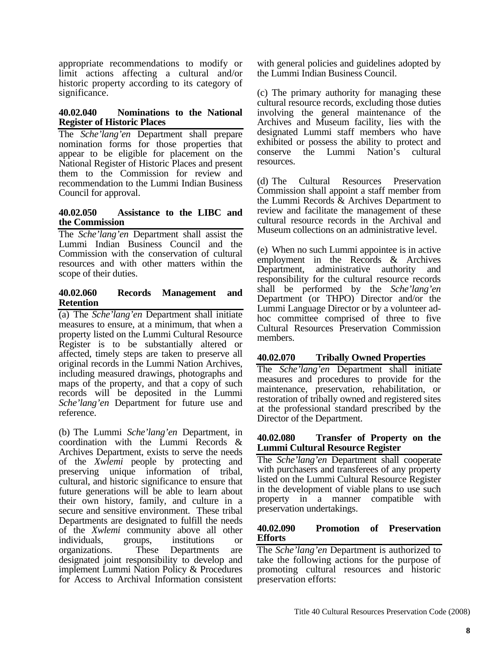appropriate recommendations to modify or limit actions affecting a cultural and/or historic property according to its category of significance.

### **40.02.040 Nominations to the National Register of Historic Places**

The *Sche'lang'en* Department shall prepare nomination forms for those properties that appear to be eligible for placement on the National Register of Historic Places and present them to the Commission for review and recommendation to the Lummi Indian Business Council for approval.

### **40.02.050 Assistance to the LIBC and the Commission**

The *Sche'lang'en* Department shall assist the Lummi Indian Business Council and the Commission with the conservation of cultural resources and with other matters within the scope of their duties.

### **40.02.060 Records Management and Retention**

(a) The *Sche'lang'en* Department shall initiate measures to ensure, at a minimum, that when a property listed on the Lummi Cultural Resource Register is to be substantially altered or affected, timely steps are taken to preserve all original records in the Lummi Nation Archives, including measured drawings, photographs and maps of the property, and that a copy of such records will be deposited in the Lummi *Sche'lang'en* Department for future use and reference.

(b) The Lummi *Sche'lang'en* Department, in coordination with the Lummi Records & Archives Department, exists to serve the needs of the *Xwlemi* people by protecting and preserving unique information of tribal, cultural, and historic significance to ensure that future generations will be able to learn about their own history, family, and culture in a secure and sensitive environment. These tribal Departments are designated to fulfill the needs of the *Xwlemi* community above all other individuals, groups, institutions or organizations. These Departments are designated joint responsibility to develop and implement Lummi Nation Policy & Procedures for Access to Archival Information consistent with general policies and guidelines adopted by the Lummi Indian Business Council.

(c) The primary authority for managing these cultural resource records, excluding those duties involving the general maintenance of the Archives and Museum facility, lies with the designated Lummi staff members who have exhibited or possess the ability to protect and conserve the Lummi Nation's cultural resources.

(d) The Cultural Resources Preservation Commission shall appoint a staff member from the Lummi Records & Archives Department to review and facilitate the management of these cultural resource records in the Archival and Museum collections on an administrative level.

(e) When no such Lummi appointee is in active employment in the Records & Archives Department, administrative authority and responsibility for the cultural resource records shall be performed by the *Sche'lang'en*  Department (or THPO) Director and/or the Lummi Language Director or by a volunteer adhoc committee comprised of three to five Cultural Resources Preservation Commission members.

# **40.02.070 Tribally Owned Properties**

The *Sche'lang'en* Department shall initiate measures and procedures to provide for the maintenance, preservation, rehabilitation, or restoration of tribally owned and registered sites at the professional standard prescribed by the Director of the Department.

### **40.02.080 Transfer of Property on the Lummi Cultural Resource Register**

The *Sche'lang'en* Department shall cooperate with purchasers and transferees of any property listed on the Lummi Cultural Resource Register in the development of viable plans to use such property in a manner compatible with preservation undertakings.

# **40.02.090 Promotion of Preservation Efforts**

The *Sche'lang'en* Department is authorized to take the following actions for the purpose of promoting cultural resources and historic preservation efforts: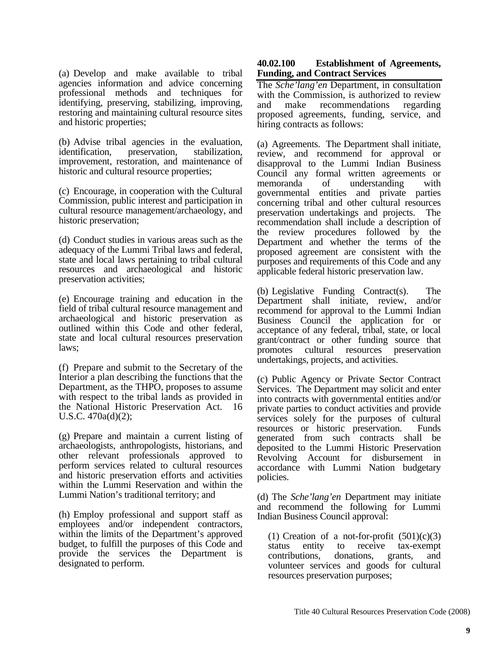(a) Develop and make available to tribal agencies information and advice concerning professional methods and techniques for identifying, preserving, stabilizing, improving, restoring and maintaining cultural resource sites and historic properties;

(b) Advise tribal agencies in the evaluation, identification, preservation, stabilization, improvement, restoration, and maintenance of historic and cultural resource properties;

(c) Encourage, in cooperation with the Cultural Commission, public interest and participation in cultural resource management/archaeology, and historic preservation;

(d) Conduct studies in various areas such as the adequacy of the Lummi Tribal laws and federal, state and local laws pertaining to tribal cultural resources and archaeological and historic preservation activities;

(e) Encourage training and education in the field of tribal cultural resource management and archaeological and historic preservation as outlined within this Code and other federal, state and local cultural resources preservation laws;

(f) Prepare and submit to the Secretary of the Interior a plan describing the functions that the Department, as the THPO, proposes to assume with respect to the tribal lands as provided in the National Historic Preservation Act. 16 U.S.C. 470a(d)(2);

(g) Prepare and maintain a current listing of archaeologists, anthropologists, historians, and other relevant professionals approved to perform services related to cultural resources and historic preservation efforts and activities within the Lummi Reservation and within the Lummi Nation's traditional territory; and

(h) Employ professional and support staff as employees and/or independent contractors, within the limits of the Department's approved budget, to fulfill the purposes of this Code and provide the services the Department is designated to perform.

### **40.02.100 Establishment of Agreements, Funding, and Contract Services**

The *Sche'lang'en* Department, in consultation with the Commission, is authorized to review and make recommendations regarding proposed agreements, funding, service, and hiring contracts as follows:

(a) Agreements. The Department shall initiate, review, and recommend for approval or disapproval to the Lummi Indian Business Council any formal written agreements or memoranda of understanding with governmental entities and private parties concerning tribal and other cultural resources preservation undertakings and projects. The recommendation shall include a description of the review procedures followed by the Department and whether the terms of the proposed agreement are consistent with the purposes and requirements of this Code and any applicable federal historic preservation law.

(b) Legislative Funding Contract(s). The Department shall initiate, review, and/or recommend for approval to the Lummi Indian Business Council the application for or acceptance of any federal, tribal, state, or local grant/contract or other funding source that promotes cultural resources preservation undertakings, projects, and activities.

(c) Public Agency or Private Sector Contract Services. The Department may solicit and enter into contracts with governmental entities and/or private parties to conduct activities and provide services solely for the purposes of cultural resources or historic preservation. Funds generated from such contracts shall be deposited to the Lummi Historic Preservation Revolving Account for disbursement in accordance with Lummi Nation budgetary policies.

(d) The *Sche'lang'en* Department may initiate and recommend the following for Lummi Indian Business Council approval:

(1) Creation of a not-for-profit  $(501)(c)(3)$ status entity to receive tax-exempt contributions, donations, grants, and volunteer services and goods for cultural resources preservation purposes;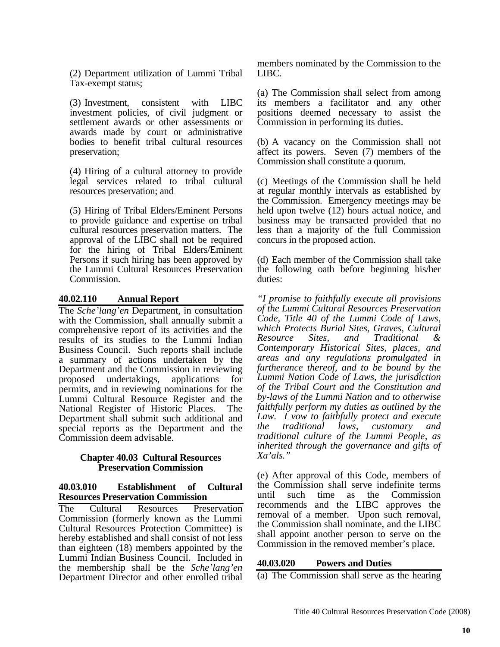(2) Department utilization of Lummi Tribal Tax-exempt status;

(3) Investment, consistent with LIBC investment policies, of civil judgment or settlement awards or other assessments or awards made by court or administrative bodies to benefit tribal cultural resources preservation;

(4) Hiring of a cultural attorney to provide legal services related to tribal cultural resources preservation; and

(5) Hiring of Tribal Elders/Eminent Persons to provide guidance and expertise on tribal cultural resources preservation matters. The approval of the LIBC shall not be required for the hiring of Tribal Elders/Eminent Persons if such hiring has been approved by the Lummi Cultural Resources Preservation Commission.

# **40.02.110 Annual Report**

The *Sche'lang'en* Department, in consultation with the Commission, shall annually submit a comprehensive report of its activities and the results of its studies to the Lummi Indian Business Council. Such reports shall include a summary of actions undertaken by the Department and the Commission in reviewing proposed undertakings, applications for permits, and in reviewing nominations for the Lummi Cultural Resource Register and the National Register of Historic Places. The Department shall submit such additional and special reports as the Department and the Commission deem advisable.

### **Chapter 40.03 Cultural Resources Preservation Commission**

### **40.03.010 Establishment of Cultural Resources Preservation Commission**

The Cultural Resources Preservation Commission (formerly known as the Lummi Cultural Resources Protection Committee) is hereby established and shall consist of not less than eighteen (18) members appointed by the Lummi Indian Business Council. Included in the membership shall be the *Sche'lang'en* Department Director and other enrolled tribal

members nominated by the Commission to the LIBC.

(a) The Commission shall select from among its members a facilitator and any other positions deemed necessary to assist the Commission in performing its duties.

(b) A vacancy on the Commission shall not affect its powers. Seven (7) members of the Commission shall constitute a quorum.

(c) Meetings of the Commission shall be held at regular monthly intervals as established by the Commission. Emergency meetings may be held upon twelve (12) hours actual notice, and business may be transacted provided that no less than a majority of the full Commission concurs in the proposed action.

(d) Each member of the Commission shall take the following oath before beginning his/her duties:

*"I promise to faithfully execute all provisions of the Lummi Cultural Resources Preservation Code, Title 40 of the Lummi Code of Laws, which Protects Burial Sites, Graves, Cultural Resource Sites, and Traditional & Contemporary Historical Sites, places, and areas and any regulations promulgated in furtherance thereof, and to be bound by the Lummi Nation Code of Laws, the jurisdiction of the Tribal Court and the Constitution and by-laws of the Lummi Nation and to otherwise faithfully perform my duties as outlined by the Law. I vow to faithfully protect and execute the traditional laws, customary and traditional culture of the Lummi People, as inherited through the governance and gifts of Xa'als."* 

(e) After approval of this Code, members of the Commission shall serve indefinite terms until such time as the Commission recommends and the LIBC approves the removal of a member. Upon such removal, the Commission shall nominate, and the LIBC shall appoint another person to serve on the Commission in the removed member's place.

### **40.03.020 Powers and Duties**

(a) The Commission shall serve as the hearing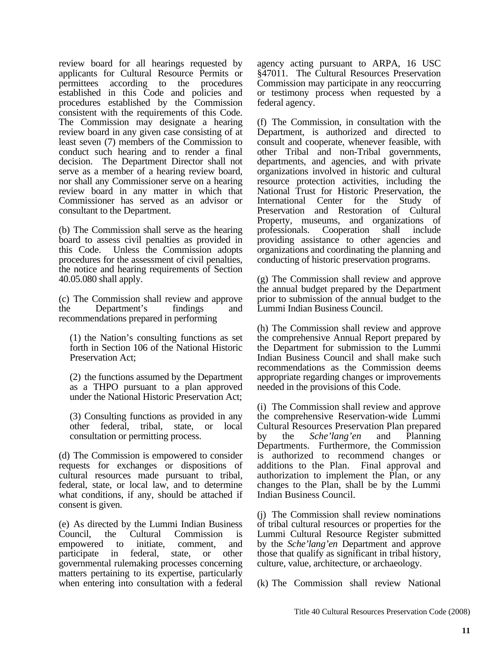review board for all hearings requested by applicants for Cultural Resource Permits or permittees according to the procedures established in this Code and policies and procedures established by the Commission consistent with the requirements of this Code. The Commission may designate a hearing review board in any given case consisting of at least seven (7) members of the Commission to conduct such hearing and to render a final decision. The Department Director shall not serve as a member of a hearing review board, nor shall any Commissioner serve on a hearing review board in any matter in which that Commissioner has served as an advisor or consultant to the Department.

(b) The Commission shall serve as the hearing board to assess civil penalties as provided in this Code. Unless the Commission adopts procedures for the assessment of civil penalties, the notice and hearing requirements of Section 40.05.080 shall apply.

(c) The Commission shall review and approve the Department's findings and recommendations prepared in performing

(1) the Nation's consulting functions as set forth in Section 106 of the National Historic Preservation Act;

(2) the functions assumed by the Department as a THPO pursuant to a plan approved under the National Historic Preservation Act;

(3) Consulting functions as provided in any other federal, tribal, state, or local consultation or permitting process.

(d) The Commission is empowered to consider requests for exchanges or dispositions of cultural resources made pursuant to tribal, federal, state, or local law, and to determine what conditions, if any, should be attached if consent is given.

(e) As directed by the Lummi Indian Business Council, the Cultural Commission is empowered to initiate, comment, and participate in federal, state, or other governmental rulemaking processes concerning matters pertaining to its expertise, particularly when entering into consultation with a federal agency acting pursuant to ARPA, 16 USC §47011. The Cultural Resources Preservation Commission may participate in any reoccurring or testimony process when requested by a federal agency.

(f) The Commission, in consultation with the Department, is authorized and directed to consult and cooperate, whenever feasible, with other Tribal and non-Tribal governments, departments, and agencies, and with private organizations involved in historic and cultural resource protection activities, including the National Trust for Historic Preservation, the International Center for the Study of Preservation and Restoration of Cultural Property, museums, and organizations of professionals. Cooperation shall include providing assistance to other agencies and organizations and coordinating the planning and conducting of historic preservation programs.

(g) The Commission shall review and approve the annual budget prepared by the Department prior to submission of the annual budget to the Lummi Indian Business Council.

(h) The Commission shall review and approve the comprehensive Annual Report prepared by the Department for submission to the Lummi Indian Business Council and shall make such recommendations as the Commission deems appropriate regarding changes or improvements needed in the provisions of this Code.

(i) The Commission shall review and approve the comprehensive Reservation-wide Lummi Cultural Resources Preservation Plan prepared by the *Sche'lang'en* and Planning Departments. Furthermore, the Commission is authorized to recommend changes or additions to the Plan. Final approval and authorization to implement the Plan, or any changes to the Plan, shall be by the Lummi Indian Business Council.

(j) The Commission shall review nominations of tribal cultural resources or properties for the Lummi Cultural Resource Register submitted by the *Sche'lang'en* Department and approve those that qualify as significant in tribal history, culture, value, architecture, or archaeology.

(k) The Commission shall review National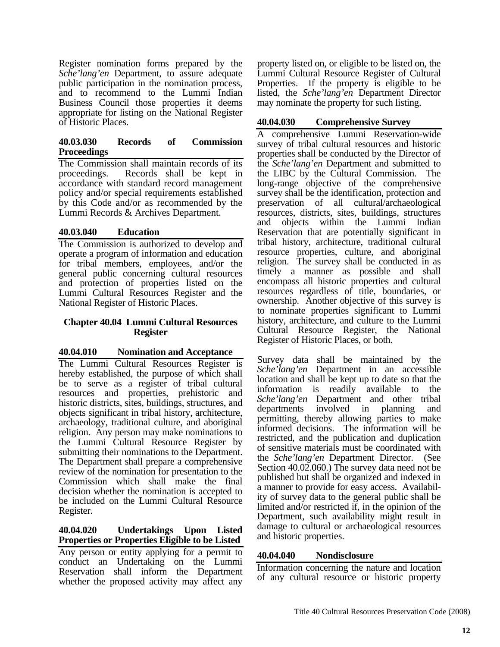Register nomination forms prepared by the *Sche'lang'en* Department, to assure adequate public participation in the nomination process, and to recommend to the Lummi Indian Business Council those properties it deems appropriate for listing on the National Register of Historic Places.

# **40.03.030 Records of Commission Proceedings**

The Commission shall maintain records of its proceedings. Records shall be kept in accordance with standard record management policy and/or special requirements established by this Code and/or as recommended by the Lummi Records & Archives Department.

# **40.03.040 Education**

The Commission is authorized to develop and operate a program of information and education for tribal members, employees, and/or the general public concerning cultural resources and protection of properties listed on the Lummi Cultural Resources Register and the National Register of Historic Places.

### **Chapter 40.04 Lummi Cultural Resources Register**

# **40.04.010 Nomination and Acceptance**

The Lummi Cultural Resources Register is hereby established, the purpose of which shall be to serve as a register of tribal cultural resources and properties, prehistoric and historic districts, sites, buildings, structures, and objects significant in tribal history, architecture, archaeology, traditional culture, and aboriginal religion. Any person may make nominations to the Lummi Cultural Resource Register by submitting their nominations to the Department. The Department shall prepare a comprehensive review of the nomination for presentation to the Commission which shall make the final decision whether the nomination is accepted to be included on the Lummi Cultural Resource Register.

# **40.04.020 Undertakings Upon Listed Properties or Properties Eligible to be Listed**

Any person or entity applying for a permit to conduct an Undertaking on the Lummi Reservation shall inform the Department whether the proposed activity may affect any

property listed on, or eligible to be listed on, the Lummi Cultural Resource Register of Cultural Properties. If the property is eligible to be listed, the *Sche'lang'en* Department Director may nominate the property for such listing.

# **40.04.030 Comprehensive Survey**

A comprehensive Lummi Reservation-wide survey of tribal cultural resources and historic properties shall be conducted by the Director of the *Sche'lang'en* Department and submitted to the LIBC by the Cultural Commission. The long-range objective of the comprehensive survey shall be the identification, protection and preservation of all cultural/archaeological resources, districts, sites, buildings, structures and objects within the Lummi Indian Reservation that are potentially significant in tribal history, architecture, traditional cultural resource properties, culture, and aboriginal religion. The survey shall be conducted in as timely a manner as possible and shall encompass all historic properties and cultural resources regardless of title, boundaries, or ownership. Another objective of this survey is to nominate properties significant to Lummi history, architecture, and culture to the Lummi Cultural Resource Register, the National Register of Historic Places, or both.

Survey data shall be maintained by the *Sche'lang'en* Department in an accessible location and shall be kept up to date so that the information is readily available to the *Sche'lang'en* Department and other tribal departments involved in planning and permitting, thereby allowing parties to make informed decisions. The information will be restricted, and the publication and duplication of sensitive materials must be coordinated with the *Sche'lang'en* Department Director. (See Section 40.02.060.) The survey data need not be published but shall be organized and indexed in a manner to provide for easy access. Availability of survey data to the general public shall be limited and/or restricted if, in the opinion of the Department, such availability might result in damage to cultural or archaeological resources and historic properties.

# **40.04.040 Nondisclosure**

Information concerning the nature and location of any cultural resource or historic property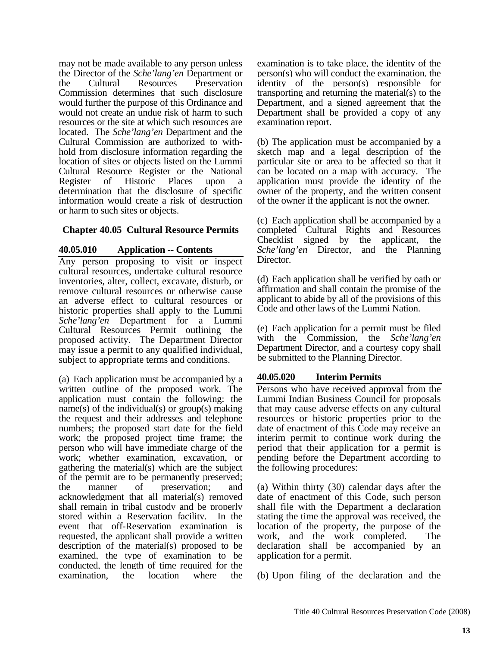may not be made available to any person unless the Director of the *Sche'lang'en* Department or the Cultural Resources Preservation Commission determines that such disclosure would further the purpose of this Ordinance and would not create an undue risk of harm to such resources or the site at which such resources are located. The *Sche'lang'en* Department and the Cultural Commission are authorized to withhold from disclosure information regarding the location of sites or objects listed on the Lummi Cultural Resource Register or the National Register of Historic Places upon a determination that the disclosure of specific information would create a risk of destruction or harm to such sites or objects.

# **Chapter 40.05 Cultural Resource Permits**

# **40.05.010 Application -- Contents**

Any person proposing to visit or inspect cultural resources, undertake cultural resource inventories, alter, collect, excavate, disturb, or remove cultural resources or otherwise cause an adverse effect to cultural resources or historic properties shall apply to the Lummi *Sche'lang'en* Department for a Lummi Cultural Resources Permit outlining the proposed activity. The Department Director may issue a permit to any qualified individual, subject to appropriate terms and conditions.

(a) Each application must be accompanied by a written outline of the proposed work. The application must contain the following: the name(s) of the individual(s) or  $group(s)$  making the request and their addresses and telephone numbers; the proposed start date for the field work; the proposed project time frame; the person who will have immediate charge of the work; whether examination, excavation, or gathering the material(s) which are the subject of the permit are to be permanently preserved; the manner of preservation; and acknowledgment that all material(s) removed shall remain in tribal custody and be properly stored within a Reservation facility. In the event that off-Reservation examination is requested, the applicant shall provide a written description of the material(s) proposed to be examined, the type of examination to be conducted, the length of time required for the examination, the location where the

examination is to take place, the identity of the person(s) who will conduct the examination, the identity of the person(s) responsible for transporting and returning the material(s) to the Department, and a signed agreement that the Department shall be provided a copy of any examination report.

(b) The application must be accompanied by a sketch map and a legal description of the particular site or area to be affected so that it can be located on a map with accuracy. The application must provide the identity of the owner of the property, and the written consent of the owner if the applicant is not the owner.

(c) Each application shall be accompanied by a completed Cultural Rights and Resources Checklist signed by the applicant, the *Sche'lang'en* Director, and the Planning Director.

(d) Each application shall be verified by oath or affirmation and shall contain the promise of the applicant to abide by all of the provisions of this Code and other laws of the Lummi Nation.

(e) Each application for a permit must be filed with the Commission, the *Sche'lang'en* Department Director, and a courtesy copy shall be submitted to the Planning Director.

# **40.05.020 Interim Permits**

Persons who have received approval from the Lummi Indian Business Council for proposals that may cause adverse effects on any cultural resources or historic properties prior to the date of enactment of this Code may receive an interim permit to continue work during the period that their application for a permit is pending before the Department according to the following procedures:

(a) Within thirty (30) calendar days after the date of enactment of this Code, such person shall file with the Department a declaration stating the time the approval was received, the location of the property, the purpose of the work, and the work completed. The declaration shall be accompanied by an application for a permit.

(b) Upon filing of the declaration and the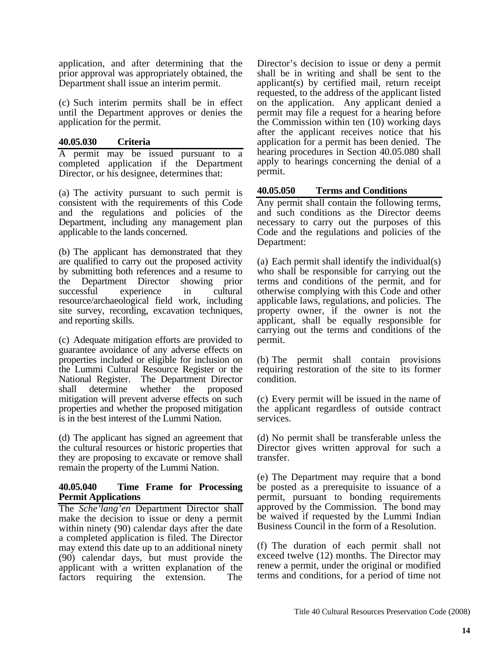application, and after determining that the prior approval was appropriately obtained, the Department shall issue an interim permit.

(c) Such interim permits shall be in effect until the Department approves or denies the application for the permit.

### **40.05.030 Criteria**

A permit may be issued pursuant to a completed application if the Department Director, or his designee, determines that:

(a) The activity pursuant to such permit is consistent with the requirements of this Code and the regulations and policies of the Department, including any management plan applicable to the lands concerned.

(b) The applicant has demonstrated that they are qualified to carry out the proposed activity by submitting both references and a resume to the Department Director showing prior successful experience in cultural resource/archaeological field work, including site survey, recording, excavation techniques, and reporting skills.

(c) Adequate mitigation efforts are provided to guarantee avoidance of any adverse effects on properties included or eligible for inclusion on the Lummi Cultural Resource Register or the National Register. The Department Director shall determine whether the proposed mitigation will prevent adverse effects on such properties and whether the proposed mitigation is in the best interest of the Lummi Nation.

(d) The applicant has signed an agreement that the cultural resources or historic properties that they are proposing to excavate or remove shall remain the property of the Lummi Nation.

### **40.05.040 Time Frame for Processing Permit Applications**

The *Sche'lang'en* Department Director shall make the decision to issue or deny a permit within ninety (90) calendar days after the date a completed application is filed. The Director may extend this date up to an additional ninety (90) calendar days, but must provide the applicant with a written explanation of the factors requiring the extension. The

Director's decision to issue or deny a permit shall be in writing and shall be sent to the applicant(s) by certified mail, return receipt requested, to the address of the applicant listed on the application. Any applicant denied a permit may file a request for a hearing before the Commission within ten (10) working days after the applicant receives notice that his application for a permit has been denied. The hearing procedures in Section 40.05.080 shall apply to hearings concerning the denial of a permit.

# **40.05.050 Terms and Conditions**

Any permit shall contain the following terms, and such conditions as the Director deems necessary to carry out the purposes of this Code and the regulations and policies of the Department:

(a) Each permit shall identify the individual(s) who shall be responsible for carrying out the terms and conditions of the permit, and for otherwise complying with this Code and other applicable laws, regulations, and policies. The property owner, if the owner is not the applicant, shall be equally responsible for carrying out the terms and conditions of the permit.

(b) The permit shall contain provisions requiring restoration of the site to its former condition.

(c) Every permit will be issued in the name of the applicant regardless of outside contract services.

(d) No permit shall be transferable unless the Director gives written approval for such a transfer.

(e) The Department may require that a bond be posted as a prerequisite to issuance of a permit, pursuant to bonding requirements approved by the Commission. The bond may be waived if requested by the Lummi Indian Business Council in the form of a Resolution.

(f) The duration of each permit shall not exceed twelve (12) months. The Director may renew a permit, under the original or modified terms and conditions, for a period of time not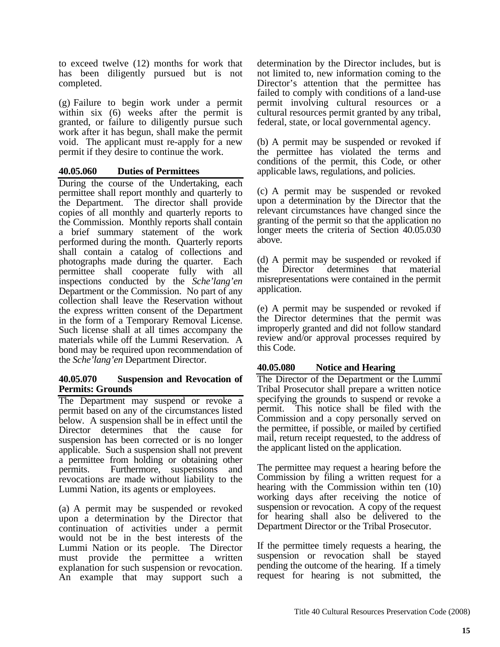to exceed twelve (12) months for work that has been diligently pursued but is not completed.

(g) Failure to begin work under a permit within six (6) weeks after the permit is granted, or failure to diligently pursue such work after it has begun, shall make the permit void. The applicant must re-apply for a new permit if they desire to continue the work.

# **40.05.060 Duties of Permittees**

During the course of the Undertaking, each permittee shall report monthly and quarterly to the Department. The director shall provide copies of all monthly and quarterly reports to the Commission. Monthly reports shall contain a brief summary statement of the work performed during the month. Quarterly reports shall contain a catalog of collections and photographs made during the quarter. Each permittee shall cooperate fully with all inspections conducted by the *Sche'lang'en* Department or the Commission. No part of any collection shall leave the Reservation without the express written consent of the Department in the form of a Temporary Removal License. Such license shall at all times accompany the materials while off the Lummi Reservation. A bond may be required upon recommendation of the *Sche'lang'en* Department Director.

### **40.05.070 Suspension and Revocation of Permits: Grounds**

The Department may suspend or revoke a permit based on any of the circumstances listed below. A suspension shall be in effect until the Director determines that the cause for suspension has been corrected or is no longer applicable. Such a suspension shall not prevent a permittee from holding or obtaining other permits. Furthermore, suspensions and revocations are made without liability to the Lummi Nation, its agents or employees.

(a) A permit may be suspended or revoked upon a determination by the Director that continuation of activities under a permit would not be in the best interests of the Lummi Nation or its people. The Director must provide the permittee a written explanation for such suspension or revocation. An example that may support such a determination by the Director includes, but is not limited to, new information coming to the Director's attention that the permittee has failed to comply with conditions of a land-use permit involving cultural resources or a cultural resources permit granted by any tribal, federal, state, or local governmental agency.

(b) A permit may be suspended or revoked if the permittee has violated the terms and conditions of the permit, this Code, or other applicable laws, regulations, and policies.

(c) A permit may be suspended or revoked upon a determination by the Director that the relevant circumstances have changed since the granting of the permit so that the application no longer meets the criteria of Section 40.05.030 above.

(d) A permit may be suspended or revoked if the Director determines that material misrepresentations were contained in the permit application.

(e) A permit may be suspended or revoked if the Director determines that the permit was improperly granted and did not follow standard review and/or approval processes required by this Code.

# **40.05.080 Notice and Hearing**

The Director of the Department or the Lummi Tribal Prosecutor shall prepare a written notice specifying the grounds to suspend or revoke a permit. This notice shall be filed with the Commission and a copy personally served on the permittee, if possible, or mailed by certified mail, return receipt requested, to the address of the applicant listed on the application.

The permittee may request a hearing before the Commission by filing a written request for a hearing with the Commission within ten (10) working days after receiving the notice of suspension or revocation. A copy of the request for hearing shall also be delivered to the Department Director or the Tribal Prosecutor.

If the permittee timely requests a hearing, the suspension or revocation shall be stayed pending the outcome of the hearing. If a timely request for hearing is not submitted, the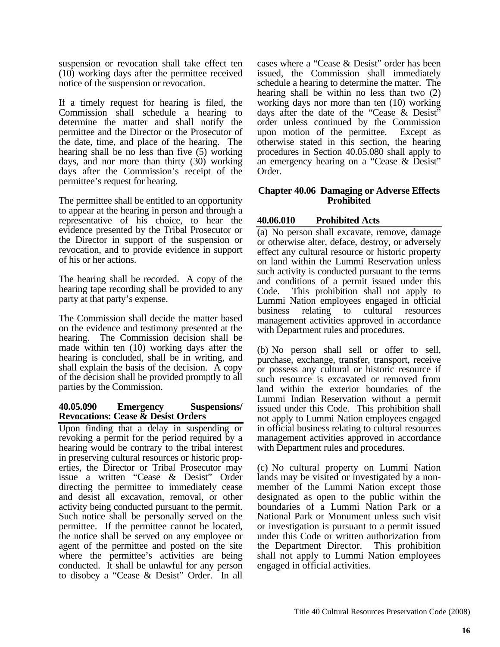suspension or revocation shall take effect ten (10) working days after the permittee received notice of the suspension or revocation.

If a timely request for hearing is filed, the Commission shall schedule a hearing to determine the matter and shall notify the permittee and the Director or the Prosecutor of the date, time, and place of the hearing. The hearing shall be no less than five (5) working days, and nor more than thirty (30) working days after the Commission's receipt of the permittee's request for hearing.

The permittee shall be entitled to an opportunity to appear at the hearing in person and through a representative of his choice, to hear the evidence presented by the Tribal Prosecutor or the Director in support of the suspension or revocation, and to provide evidence in support of his or her actions.

The hearing shall be recorded. A copy of the hearing tape recording shall be provided to any party at that party's expense.

The Commission shall decide the matter based on the evidence and testimony presented at the hearing. The Commission decision shall be made within ten (10) working days after the hearing is concluded, shall be in writing, and shall explain the basis of the decision. A copy of the decision shall be provided promptly to all parties by the Commission.

### **40.05.090 Emergency Suspensions/ Revocations: Cease & Desist Orders**

Upon finding that a delay in suspending or revoking a permit for the period required by a hearing would be contrary to the tribal interest in preserving cultural resources or historic properties, the Director or Tribal Prosecutor may issue a written "Cease & Desist" Order directing the permittee to immediately cease and desist all excavation, removal, or other activity being conducted pursuant to the permit. Such notice shall be personally served on the permittee. If the permittee cannot be located, the notice shall be served on any employee or agent of the permittee and posted on the site where the permittee's activities are being conducted. It shall be unlawful for any person to disobey a "Cease & Desist" Order. In all

cases where a "Cease & Desist" order has been issued, the Commission shall immediately schedule a hearing to determine the matter. The hearing shall be within no less than two (2) working days nor more than ten (10) working days after the date of the "Cease & Desist" order unless continued by the Commission upon motion of the permittee. Except as otherwise stated in this section, the hearing procedures in Section 40.05.080 shall apply to an emergency hearing on a "Cease & Desist" Order.

### **Chapter 40.06 Damaging or Adverse Effects Prohibited**

# **40.06.010 Prohibited Acts**

(a) No person shall excavate, remove, damage or otherwise alter, deface, destroy, or adversely effect any cultural resource or historic property on land within the Lummi Reservation unless such activity is conducted pursuant to the terms and conditions of a permit issued under this Code. This prohibition shall not apply to Lummi Nation employees engaged in official business relating to cultural resources management activities approved in accordance with Department rules and procedures.

(b) No person shall sell or offer to sell, purchase, exchange, transfer, transport, receive or possess any cultural or historic resource if such resource is excavated or removed from land within the exterior boundaries of the Lummi Indian Reservation without a permit issued under this Code. This prohibition shall not apply to Lummi Nation employees engaged in official business relating to cultural resources management activities approved in accordance with Department rules and procedures.

(c) No cultural property on Lummi Nation lands may be visited or investigated by a nonmember of the Lummi Nation except those designated as open to the public within the boundaries of a Lummi Nation Park or a National Park or Monument unless such visit or investigation is pursuant to a permit issued under this Code or written authorization from the Department Director. This prohibition shall not apply to Lummi Nation employees engaged in official activities.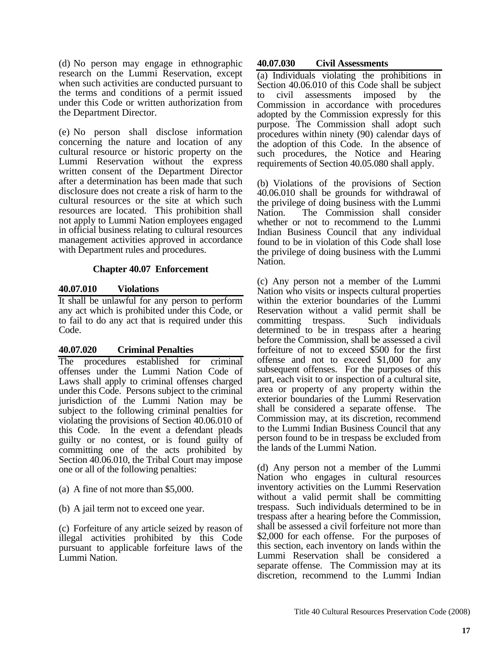(d) No person may engage in ethnographic research on the Lummi Reservation, except when such activities are conducted pursuant to the terms and conditions of a permit issued under this Code or written authorization from the Department Director.

(e) No person shall disclose information concerning the nature and location of any cultural resource or historic property on the Lummi Reservation without the express written consent of the Department Director after a determination has been made that such disclosure does not create a risk of harm to the cultural resources or the site at which such resources are located. This prohibition shall not apply to Lummi Nation employees engaged in official business relating to cultural resources management activities approved in accordance with Department rules and procedures.

### **Chapter 40.07 Enforcement**

### **40.07.010 Violations**

It shall be unlawful for any person to perform any act which is prohibited under this Code, or to fail to do any act that is required under this Code.

# **40.07.020 Criminal Penalties**

The procedures established for criminal offenses under the Lummi Nation Code of Laws shall apply to criminal offenses charged under this Code. Persons subject to the criminal jurisdiction of the Lummi Nation may be subject to the following criminal penalties for violating the provisions of Section 40.06.010 of this Code. In the event a defendant pleads guilty or no contest, or is found guilty of committing one of the acts prohibited by Section 40.06.010, the Tribal Court may impose one or all of the following penalties:

- (a) A fine of not more than \$5,000.
- (b) A jail term not to exceed one year.

(c) Forfeiture of any article seized by reason of illegal activities prohibited by this Code pursuant to applicable forfeiture laws of the Lummi Nation.

### **40.07.030 Civil Assessments**

(a) Individuals violating the prohibitions in Section 40.06.010 of this Code shall be subject to civil assessments imposed by the Commission in accordance with procedures adopted by the Commission expressly for this purpose. The Commission shall adopt such procedures within ninety (90) calendar days of the adoption of this Code. In the absence of such procedures, the Notice and Hearing requirements of Section 40.05.080 shall apply.

(b) Violations of the provisions of Section 40.06.010 shall be grounds for withdrawal of the privilege of doing business with the Lummi Nation. The Commission shall consider whether or not to recommend to the Lummi Indian Business Council that any individual found to be in violation of this Code shall lose the privilege of doing business with the Lummi Nation.

(c) Any person not a member of the Lummi Nation who visits or inspects cultural properties within the exterior boundaries of the Lummi Reservation without a valid permit shall be committing trespass. Such individuals determined to be in trespass after a hearing before the Commission, shall be assessed a civil forfeiture of not to exceed \$500 for the first offense and not to exceed \$1,000 for any subsequent offenses. For the purposes of this part, each visit to or inspection of a cultural site, area or property of any property within the exterior boundaries of the Lummi Reservation shall be considered a separate offense. The Commission may, at its discretion, recommend to the Lummi Indian Business Council that any person found to be in trespass be excluded from the lands of the Lummi Nation.

(d) Any person not a member of the Lummi Nation who engages in cultural resources inventory activities on the Lummi Reservation without a valid permit shall be committing trespass. Such individuals determined to be in trespass after a hearing before the Commission, shall be assessed a civil forfeiture not more than \$2,000 for each offense. For the purposes of this section, each inventory on lands within the Lummi Reservation shall be considered a separate offense. The Commission may at its discretion, recommend to the Lummi Indian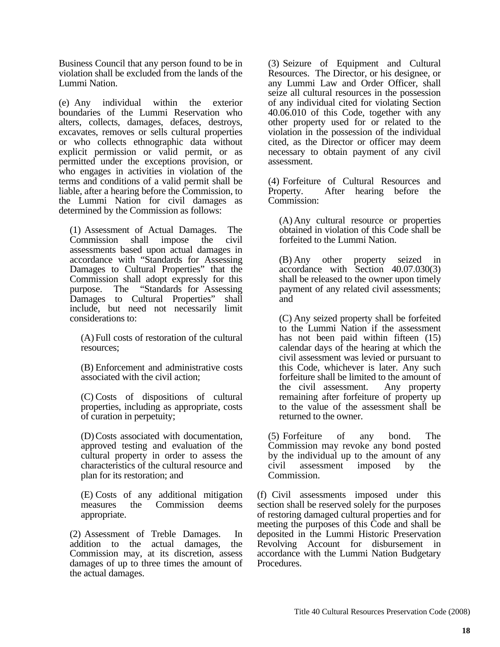Business Council that any person found to be in violation shall be excluded from the lands of the Lummi Nation.

(e) Any individual within the exterior boundaries of the Lummi Reservation who alters, collects, damages, defaces, destroys, excavates, removes or sells cultural properties or who collects ethnographic data without explicit permission or valid permit, or as permitted under the exceptions provision, or who engages in activities in violation of the terms and conditions of a valid permit shall be liable, after a hearing before the Commission, to the Lummi Nation for civil damages as determined by the Commission as follows:

(1) Assessment of Actual Damages. The Commission shall impose the civil assessments based upon actual damages in accordance with "Standards for Assessing Damages to Cultural Properties" that the Commission shall adopt expressly for this purpose. The "Standards for Assessing Damages to Cultural Properties" shall include, but need not necessarily limit considerations to:

(A) Full costs of restoration of the cultural resources;

(B) Enforcement and administrative costs associated with the civil action;

(C) Costs of dispositions of cultural properties, including as appropriate, costs of curation in perpetuity;

(D) Costs associated with documentation, approved testing and evaluation of the cultural property in order to assess the characteristics of the cultural resource and plan for its restoration; and

(E) Costs of any additional mitigation measures the Commission deems appropriate.

(2) Assessment of Treble Damages. In addition to the actual damages, the Commission may, at its discretion, assess damages of up to three times the amount of the actual damages.

(3) Seizure of Equipment and Cultural Resources. The Director, or his designee, or any Lummi Law and Order Officer, shall seize all cultural resources in the possession of any individual cited for violating Section 40.06.010 of this Code, together with any other property used for or related to the violation in the possession of the individual cited, as the Director or officer may deem necessary to obtain payment of any civil assessment.

(4) Forfeiture of Cultural Resources and Property. After hearing before the Commission:

(A) Any cultural resource or properties obtained in violation of this Code shall be forfeited to the Lummi Nation.

(B) Any other property seized in accordance with Section 40.07.030(3) shall be released to the owner upon timely payment of any related civil assessments; and

(C) Any seized property shall be forfeited to the Lummi Nation if the assessment has not been paid within fifteen  $(15)$ calendar days of the hearing at which the civil assessment was levied or pursuant to this Code, whichever is later. Any such forfeiture shall be limited to the amount of the civil assessment. Any property remaining after forfeiture of property up to the value of the assessment shall be returned to the owner.

(5) Forfeiture of any bond. The Commission may revoke any bond posted by the individual up to the amount of any civil assessment imposed by the Commission.

(f) Civil assessments imposed under this section shall be reserved solely for the purposes of restoring damaged cultural properties and for meeting the purposes of this Code and shall be deposited in the Lummi Historic Preservation Revolving Account for disbursement in accordance with the Lummi Nation Budgetary Procedures.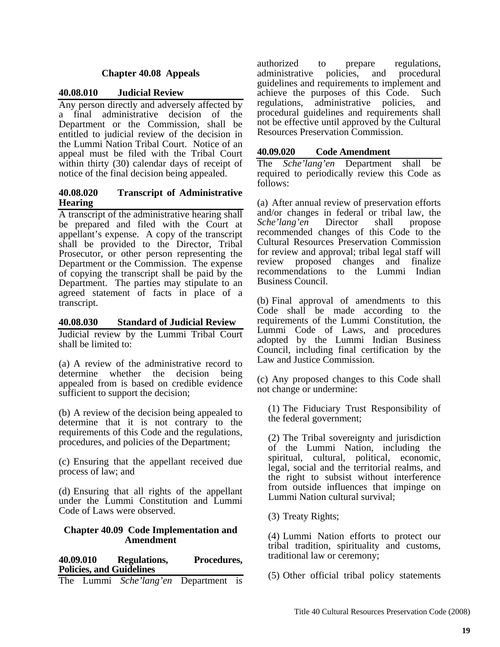# **Chapter 40.08 Appeals**

### **40.08.010 Judicial Review**

Any person directly and adversely affected by a final administrative decision of the Department or the Commission, shall be entitled to judicial review of the decision in the Lummi Nation Tribal Court. Notice of an appeal must be filed with the Tribal Court within thirty (30) calendar days of receipt of notice of the final decision being appealed.

### **40.08.020 Transcript of Administrative Hearing**

A transcript of the administrative hearing shall be prepared and filed with the Court at appellant's expense. A copy of the transcript shall be provided to the Director, Tribal Prosecutor, or other person representing the Department or the Commission. The expense of copying the transcript shall be paid by the Department. The parties may stipulate to an agreed statement of facts in place of a transcript.

### **40.08.030 Standard of Judicial Review**

Judicial review by the Lummi Tribal Court shall be limited to:

(a) A review of the administrative record to determine whether the decision being appealed from is based on credible evidence sufficient to support the decision;

(b) A review of the decision being appealed to determine that it is not contrary to the requirements of this Code and the regulations, procedures, and policies of the Department;

(c) Ensuring that the appellant received due process of law; and

(d) Ensuring that all rights of the appellant under the Lummi Constitution and Lummi Code of Laws were observed.

### **Chapter 40.09 Code Implementation and Amendment**

**40.09.010 Regulations, Procedures, Policies, and Guidelines** 

|  |  | The Lummi Sche'lang'en Department is |  |  |
|--|--|--------------------------------------|--|--|
|--|--|--------------------------------------|--|--|

authorized to prepare regulations, administrative policies, and procedural guidelines and requirements to implement and achieve the purposes of this Code. Such regulations, administrative policies, and procedural guidelines and requirements shall not be effective until approved by the Cultural Resources Preservation Commission.

### **40.09.020 Code Amendment**

The *Sche'lang'en* Department shall be required to periodically review this Code as follows:

(a) After annual review of preservation efforts and/or changes in federal or tribal law, the *Sche'lang'en* Director shall propose recommended changes of this Code to the Cultural Resources Preservation Commission for review and approval; tribal legal staff will review proposed changes and finalize recommendations to the Lummi Indian Business Council.

(b) Final approval of amendments to this Code shall be made according to the requirements of the Lummi Constitution, the Lummi Code of Laws, and procedures adopted by the Lummi Indian Business Council, including final certification by the Law and Justice Commission.

(c) Any proposed changes to this Code shall not change or undermine:

(1) The Fiduciary Trust Responsibility of the federal government;

(2) The Tribal sovereignty and jurisdiction of the Lummi Nation, including the spiritual, cultural, political, economic, legal, social and the territorial realms, and the right to subsist without interference from outside influences that impinge on Lummi Nation cultural survival;

(3) Treaty Rights;

(4) Lummi Nation efforts to protect our tribal tradition, spirituality and customs, traditional law or ceremony;

(5) Other official tribal policy statements